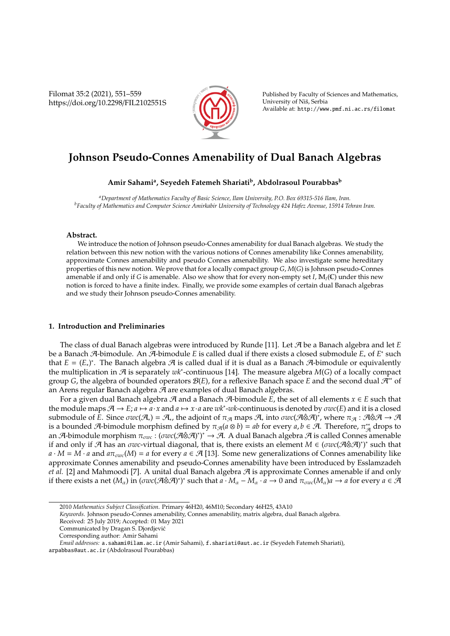Filomat 35:2 (2021), 551–559 https://doi.org/10.2298/FIL2102551S



Published by Faculty of Sciences and Mathematics, University of Nis, Serbia ˇ Available at: http://www.pmf.ni.ac.rs/filomat

# **Johnson Pseudo-Connes Amenability of Dual Banach Algebras**

**Amir Sahami<sup>a</sup> , Seyedeh Fatemeh Shariati<sup>b</sup> , Abdolrasoul Pourabbas<sup>b</sup>**

*<sup>a</sup>Department of Mathematics Faculty of Basic Science, Ilam University, P.O. Box 69315-516 Ilam, Iran. <sup>b</sup>Faculty of Mathematics and Computer Science Amirkabir University of Technology 424 Hafez Avenue, 15914 Tehran Iran.*

## **Abstract.**

We introduce the notion of Johnson pseudo-Connes amenability for dual Banach algebras. We study the relation between this new notion with the various notions of Connes amenability like Connes amenability, approximate Connes amenability and pseudo Connes amenability. We also investigate some hereditary properties of this new notion. We prove that for a locally compact group *G*, *M*(*G*) is Johnson pseudo-Connes amenable if and only if *G* is amenable. Also we show that for every non-empty set *I*, M*I*(C) under this new notion is forced to have a finite index. Finally, we provide some examples of certain dual Banach algebras and we study their Johnson pseudo-Connes amenability.

## **1. Introduction and Preliminaries**

The class of dual Banach algebras were introduced by Runde [11]. Let A be a Banach algebra and let *E* be a Banach A-bimodule. An A-bimodule *E* is called dual if there exists a closed submodule *E*<sup>∗</sup> of *E* ∗ such that  $E = (E_*)^*$ . The Banach algebra  $\mathcal A$  is called dual if it is dual as a Banach  $\mathcal A$ -bimodule or equivalently the multiplication in A is separately *wk*<sup>∗</sup> -continuous [14]. The measure algebra *M*(*G*) of a locally compact group *G*, the algebra of bounded operators B(*E*), for a reflexive Banach space *E* and the second dual A∗∗ of an Arens regular Banach algebra A are examples of dual Banach algebras.

For a given dual Banach algebra  $\mathcal A$  and a Banach  $\mathcal A$ -bimodule  $E$ , the set of all elements  $x \in E$  such that the module maps  $A \to E$ ;  $a \mapsto a \cdot x$  and  $a \mapsto x \cdot a$  are  $wk^*$ -wk-continuous is denoted by  $\sigma wc(E)$  and it is a closed submodule of E. Since  $\sigma wc (A_*) = A_*$ , the adjoint of  $\pi_{A}$  maps  $A_*$  into  $\sigma wc (A\hat{\otimes} A)^*$ , where  $\pi_{A}: A\hat{\otimes} A\to A$ is a bounded A-bimodule morphism defined by  $\pi_{\mathcal{A}}(a \otimes b) = ab$  for every  $a, b \in \mathcal{A}$ . Therefore,  $\pi_{\mathcal{A}}^{**}$  drops to an A-bimodule morphism  $\pi_{\sigma w}$ : (σwc(A⊗A)<sup>\*</sup>)\* → A. A dual Banach algebra A is called Connes amenable if and only if  $\mathcal A$  has an  $\sigma w c$ -virtual diagonal, that is, there exists an element  $M \in (\sigma w c(\mathcal A \hat\otimes \mathcal A)^*)^*$  such that  $a \cdot M = M \cdot a$  and  $a\pi_{\sigma w}M$  = *a* for every  $a \in \mathcal{A}$  [13]. Some new generalizations of Connes amenability like approximate Connes amenability and pseudo-Connes amenability have been introduced by Esslamzadeh *et al.* [2] and Mahmoodi [7]. A unital dual Banach algebra  $\mathcal{A}$  is approximate Connes amenable if and only if there exists a net  $(M_\alpha)$  in  $(\sigma wc(\mathcal{A}\hat{\otimes}\mathcal{A})^*)$  such that  $a \cdot M_\alpha - M_\alpha \cdot a \to 0$  and  $\pi_{\sigma wc}(M_\alpha)a \to a$  for every  $a \in \mathcal{A}$ 

<sup>2010</sup> *Mathematics Subject Classification*. Primary 46H20, 46M10; Secondary 46H25, 43A10

*Keywords*. Johnson pseudo-Connes amenability, Connes amenability, matrix algebra, dual Banach algebra.

Received: 25 July 2019; Accepted: 01 May 2021

Communicated by Dragan S. Djordjevic´

Corresponding author: Amir Sahami

*Email addresses:* a.sahami@ilam.ac.ir (Amir Sahami), f.shariati@aut.ac.ir (Seyedeh Fatemeh Shariati),

arpabbas@aut.ac.ir (Abdolrasoul Pourabbas)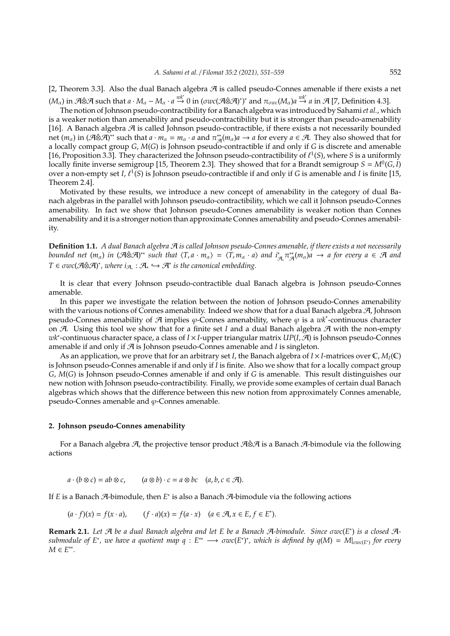[2, Theorem 3.3]. Also the dual Banach algebra  $\mathcal A$  is called pseudo-Connes amenable if there exists a net  $(M_\alpha)$  in  $\mathcal{A}\otimes\mathcal{A}$  such that  $a\cdot M_\alpha - M_\alpha\cdot a \stackrel{wk^*}{\rightarrow} 0$  in  $(\sigma wc(\mathcal{A}\otimes\mathcal{A})^*)^*$  and  $\pi_{\sigma wc}(M_\alpha)a \stackrel{wk^*}{\rightarrow} a$  in  $\mathcal{A}$  [7, Definition 4.3].

The notion of Johnson pseudo-contractibility for a Banach algebra was introduced by Sahami*et al.*, which is a weaker notion than amenability and pseudo-contractibility but it is stronger than pseudo-amenability [16]. A Banach algebra  $\mathcal{A}$  is called Johnson pseudo-contractible, if there exists a not necessarily bounded net  $(m_\alpha)$  in  $(A \hat{\otimes} A)^{**}$  such that  $a \cdot m_\alpha = m_\alpha \cdot a$  and  $\pi_A^{**}(m_\alpha)a \to a$  for every  $a \in A$ . They also showed that for a locally compact group *G*, *M*(*G*) is Johnson pseudo-contractible if and only if *G* is discrete and amenable [16, Proposition 3.3]. They characterized the Johnson pseudo-contractibility of  $\ell^1(S)$ , where *S* is a uniformly locally finite inverse semigroup [15, Theorem 2.3]. They showed that for a Brandt semigroup  $S = M^0(G, I)$ over a non-empty set *I*,  $\ell^1$ (S) is Johnson pseudo-contractible if and only if *G* is amenable and *I* is finite [15, Theorem 2.4].

Motivated by these results, we introduce a new concept of amenability in the category of dual Banach algebras in the parallel with Johnson pseudo-contractibility, which we call it Johnson pseudo-Connes amenability. In fact we show that Johnson pseudo-Connes amenability is weaker notion than Connes amenability and it is a stronger notion than approximate Connes amenability and pseudo-Connes amenability.

**Definition 1.1.** *A dual Banach algebra* A *is called Johnson pseudo-Connes amenable, if there exists a not necessarily bounded net*  $(m_\alpha)$  *in*  $(\mathcal{A} \hat{\otimes} \mathcal{A})^*$  such that  $\langle T, a \cdot m_\alpha \rangle = \langle T, m_\alpha \cdot a \rangle$  and  $i^*_{\mathcal{A}_\alpha} \pi^*_{\mathcal{A}}(m_\alpha) a \to a$  for every  $a \in \mathcal{A}$  and  $T \in \sigma \text{wc}(\mathcal{A} \hat{\otimes} \mathcal{A})^*$ , where  $i_{\mathcal{A}_*}: \mathcal{A}_* \hookrightarrow \mathcal{A}^*$  is the canonical embedding.

It is clear that every Johnson pseudo-contractible dual Banach algebra is Johnson pseudo-Connes amenable.

In this paper we investigate the relation between the notion of Johnson pseudo-Connes amenability with the various notions of Connes amenability. Indeed we show that for a dual Banach algebra  $\mathcal{A}$ , Johnson pseudo-Connes amenability of  $\mathcal A$  implies  $\varphi$ -Connes amenability, where  $\varphi$  is a  $wk^*$ -continuous character on  $\mathcal{A}$ . Using this tool we show that for a finite set *I* and a dual Banach algebra  $\mathcal{A}$  with the non-empty *wk*<sup>∗</sup> -continuous character space, a class of *I* × *I*-upper triangular matrix *UP*(*I*, A) is Johnson pseudo-Connes amenable if and only if A is Johnson pseudo-Connes amenable and *I* is singleton.

As an application, we prove that for an arbitrary set *I*, the Banach algebra of  $I \times I$ -matrices over  $\mathbb{C}$ ,  $M_I(\mathbb{C})$ is Johnson pseudo-Connes amenable if and only if *I* is finite. Also we show that for a locally compact group *G*, *M*(*G*) is Johnson pseudo-Connes amenable if and only if *G* is amenable. This result distinguishes our new notion with Johnson pseudo-contractibility. Finally, we provide some examples of certain dual Banach algebras which shows that the difference between this new notion from approximately Connes amenable, pseudo-Connes amenable and  $\varphi$ -Connes amenable.

#### **2. Johnson pseudo-Connes amenability**

For a Banach algebra A, the projective tensor product A⊗A is a Banach A-bimodule via the following actions

 $a \cdot (b \otimes c) = ab \otimes c$ ,  $(a \otimes b) \cdot c = a \otimes bc$   $(a, b, c \in \mathcal{A})$ .

If *E* is a Banach A-bimodule, then *E*<sup>\*</sup> is also a Banach A-bimodule via the following actions

 $(a \cdot f)(x) = f(x \cdot a),$   $(f \cdot a)(x) = f(a \cdot x)$   $(a \in \mathcal{A}, x \in E, f \in E^*)$ .

**Remark 2.1.** *Let* A *be a dual Banach algebra and let E be a Banach* A*-bimodule. Since* σ*wc*(*E* ∗ ) *is a closed* A $s$ ubmodule of  $E^*$ , we have a quotient map  $q: E^{**} \longrightarrow \sigma$ wc $(E^*)^*$ , which is defined by  $q(M) = M|_{\sigma wc(E^*)}$  for every *M* ∈ *E* ∗∗ *.*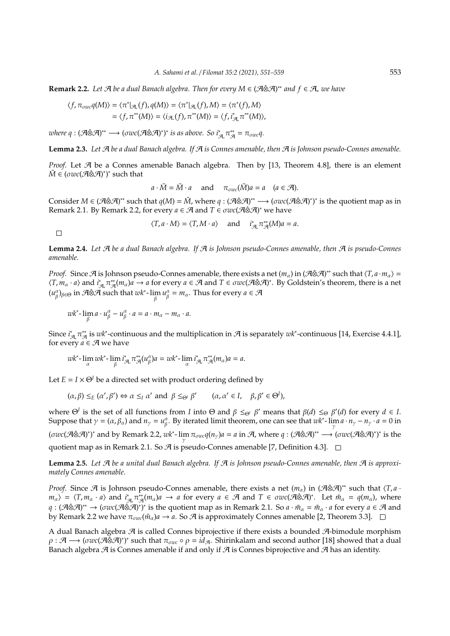**Remark 2.2.** Let A be a dual Banach algebra. Then for every  $M \in (A \hat{\otimes} A)^{**}$  and  $f \in A_*$  we have

$$
\langle f, \pi_{\sigma w c} q(M) \rangle = \langle \pi^* |_{\mathcal{A}_*}(f), q(M) \rangle = \langle \pi^* |_{\mathcal{A}_*}(f), M \rangle = \langle \pi^*(f), M \rangle
$$
  
=  $\langle f, \pi^{**}(M) \rangle = \langle i_{\mathcal{A}_*}(f), \pi^{**}(M) \rangle = \langle f, i_{\mathcal{A}_*}^*, \pi^{**}(M) \rangle$ ,

 $where \ q:(\mathcal{A}\hat{\otimes}\mathcal{A})^{**}\longrightarrow ( \sigma wc(\mathcal{A}\hat{\otimes}\mathcal{A})^{*})^{*} \ \text{is as above. So} \ i_{\mathcal{A}_{\star}}^{*}\pi_{\mathcal{A}}^{**}=\pi_{\sigma wc}q.$ 

**Lemma 2.3.** *Let* A *be a dual Banach algebra. If* A *is Connes amenable, then* A *is Johnson pseudo-Connes amenable.*

*Proof.* Let  $A$  be a Connes amenable Banach algebra. Then by [13, Theorem 4.8], there is an element  $\tilde{M} \in (\sigma wc ( \mathcal{A} \hat{\otimes} \mathcal{A} )^*)^*$  such that

$$
a \cdot \tilde{M} = \tilde{M} \cdot a
$$
 and  $\pi_{\sigma w}(\tilde{M})a = a$   $(a \in \mathcal{A})$ .

Consider  $M \in (A \otimes A)^{**}$  such that  $q(M) = \tilde{M}$ , where  $q : (A \otimes A)^{**} \longrightarrow (\sigma wc (A \otimes A)^{*})^{*}$  is the quotient map as in Remark 2.1. By Remark 2.2, for every  $a \in \mathcal{A}$  and  $T \in \sigma wc(\mathcal{A} \hat{\otimes} \mathcal{A})^*$  we have

 $\langle T, a \cdot M \rangle = \langle T, M \cdot a \rangle$  and  $i_{\mathcal{A}}^* \pi_{\mathcal{A}}^{**}(M) a = a$ .

 $\Box$ 

**Lemma 2.4.** *Let* A *be a dual Banach algebra. If* A *is Johnson pseudo-Connes amenable, then* A *is pseudo-Connes amenable.*

*Proof.* Since A is Johnson pseudo-Connes amenable, there exists a net  $(m_\alpha)$  in  $(A\otimes A)^*$  such that  $\langle T, a \cdot m_\alpha \rangle =$  $\langle T, m_\alpha \cdot a \rangle$  and  $i^*_{\mathcal{A}_\epsilon} \pi^*_{\mathcal{A}}(m_\alpha) a \to a$  for every  $a \in \mathcal{A}$  and  $T \in \sigma wc(\mathcal{A} \hat{\otimes} \mathcal{A})^*$ . By Goldstein's theorem, there is a net  $(u_\beta^\alpha)_{\beta \in \Theta}$  in  $\mathcal{A} \hat{\otimes} \mathcal{A}$  such that  $wk^*$ -  $\lim_{\beta} u_\beta^\alpha = m_\alpha$ . Thus for every  $a \in \mathcal{A}$ 

 $\frac{dw}{\beta}$  -  $\lim_{\beta} a \cdot u_{\beta}^{\alpha} - u_{\beta}^{\alpha} \cdot a = a \cdot m_{\alpha} - m_{\alpha} \cdot a.$ 

Since *i*<sup>\*</sup><sub>A</sub>,  $\pi^*_{A}$  is *wk*<sup>∗</sup>-continuous and the multiplication in A is separately *wk*<sup>\*</sup>-continuous [14, Exercise 4.4.1], for every  $a \in \mathcal{A}$  we have

$$
wk^*-\lim_{\alpha}wk^*-\lim_{\beta}i^*_{\mathcal{A}}\pi_{\mathcal{A}}^{**}(u_{\beta}^{\alpha})a=wk^*-\lim_{\alpha}i^*_{\mathcal{A}}\pi_{\mathcal{A}}^{**}(m_{\alpha})a=a.
$$

Let  $E = I \times \Theta^I$  be a directed set with product ordering defined by

 $(\alpha, \beta) \leq_E (\alpha', \beta') \Leftrightarrow \alpha \leq_I \alpha' \text{ and } \beta \leq_{\Theta^I} \beta' \quad (\alpha, \alpha' \in I, \beta, \beta' \in \Theta^I),$ 

where  $\Theta^I$  is the set of all functions from *I* into  $\Theta$  and  $\beta \leq_{\Theta^I} \beta'$  means that  $\beta(d) \leq_{\Theta} \beta'(d)$  for every  $d \in I$ . Suppose that  $\gamma = (\alpha, \beta_\alpha)$  and  $n_\gamma = u_\beta^\alpha$ . By iterated limit theorem, one can see that  $wk^*$ - $\lim_{\gamma} a \cdot n_\gamma - n_\gamma \cdot a = 0$  in  $(\sigma wc(\mathcal{A} \hat{\otimes} \mathcal{A})^*)^*$  and by Remark 2.2,  $wk^*$ -  $\lim_{\gamma} \pi_{\sigma wc} q(n_{\gamma})a = a$  in  $\mathcal{A}$ , where  $q : (\mathcal{A} \hat{\otimes} \mathcal{A})^{**} \longrightarrow (\sigma wc(\mathcal{A} \hat{\otimes} \mathcal{A})^*)^*$  is the quotient map as in Remark 2.1. So  $\mathcal A$  is pseudo-Connes amenable [7, Definition 4.3].  $\Box$ 

**Lemma 2.5.** Let  $\mathcal A$  be a unital dual Banach algebra. If  $\mathcal A$  is Johnson pseudo-Connes amenable, then  $\mathcal A$  is approxi*mately Connes amenable.*

*Proof.* Since A is Johnson pseudo-Connes amenable, there exists a net  $(m_\alpha)$  in  $(A \hat{\otimes} A)^*$  such that  $\langle T, a \cdot A \rangle$  $m_{\alpha}$ ) =  $\langle T, m_{\alpha} \cdot a \rangle$  and  $i_{\mathcal{A}_{\alpha}}^* \pi_{\mathcal{A}}^*(m_{\alpha})a \to a$  for every  $a \in \mathcal{A}$  and  $T \in \sigma$ *wc*( $\mathcal{A} \otimes \mathcal{A}$ )<sup>\*</sup>. Let  $\tilde{m}_{\alpha} = q(m_{\alpha})$ , where *q* : (A⊗A)<sup>\*\*</sup> → (σwc(A⊗A)<sup>\*</sup>)<sup>\*</sup> is the quotient map as in Remark 2.1. So *a* ·  $m_\alpha = m_\alpha \cdot a$  for every  $a \in A$  and by Remark 2.2 we have  $\pi_{\sigma w}(\tilde{m}_\alpha)a \to a$ . So  $\mathcal A$  is approximately Connes amenable [2, Theorem 3.3].  $\Box$ 

A dual Banach algebra  $\mathcal A$  is called Connes biprojective if there exists a bounded  $\mathcal A$ -bimodule morphism  $\rho: A \longrightarrow ( \sigma w c (A \hat{\otimes} A)^*)^*$  such that  $\pi_{\sigma w c} \circ \rho = id_{A}$ . Shirinkalam and second author [18] showed that a dual Banach algebra  $\mathcal A$  is Connes amenable if and only if  $\mathcal A$  is Connes biprojective and  $\mathcal A$  has an identity.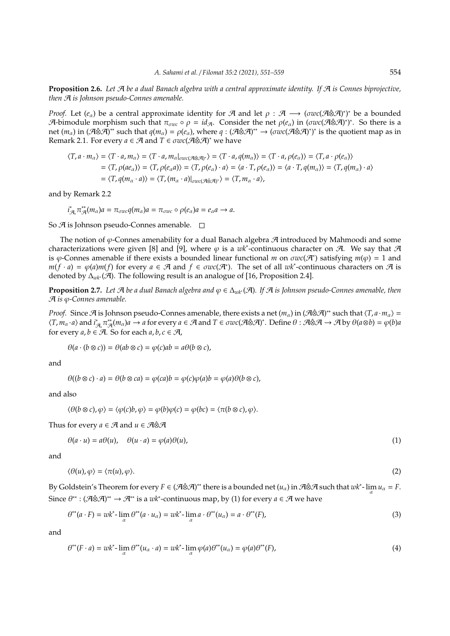**Proposition 2.6.** *Let* A *be a dual Banach algebra with a central approximate identity. If* A *is Connes biprojective, then* A *is Johnson pseudo-Connes amenable.*

*Proof.* Let  $(e_\alpha)$  be a central approximate identity for  $\mathcal A$  and let  $\rho$  :  $\mathcal A$   $\longrightarrow$   $(\sigma wc(\mathcal A\hat{\otimes}\mathcal A)^*)^*$  be a bounded  $\mathcal{A}$ -bimodule morphism such that  $\pi_{\sigma w c} \circ \rho = id_{\mathcal{A}}$ . Consider the net  $\rho(e_{\alpha})$  in  $(\sigma w c(\mathcal{A} \hat{\otimes} \mathcal{A})^*)^*$ . So there is a  ${\rm net}~(m_\alpha)$  in (A⊗A)\*\* such that  $q(m_\alpha)=\rho(e_\alpha)$ , where  $q:(\mathcal A\hat\otimes\mathcal A)^{**}\to(\sigma w c(\mathcal A\hat\otimes\mathcal A)^*)^*$  is the quotient map as in Remark 2.1. For every *a* ∈ *A* and *T* ∈ *σwc*( $\mathcal{A}$ ⊗ $\mathcal{A}$ )<sup>\*</sup> we have

$$
\langle T, a \cdot m_{\alpha} \rangle = \langle T \cdot a, m_{\alpha} \rangle = \langle T \cdot a, m_{\alpha} \vert_{\sigma w c(\mathcal{A} \otimes \mathcal{A})^*} \rangle = \langle T \cdot a, q(m_{\alpha}) \rangle = \langle T \cdot a, \rho(e_{\alpha}) \rangle = \langle T, a \cdot \rho(e_{\alpha}) \rangle
$$
  
=  $\langle T, \rho(a\alpha_{\alpha}) \rangle = \langle T, \rho(e_{\alpha}a) \rangle = \langle T, \rho(e_{\alpha}) \cdot a \rangle = \langle a \cdot T, \rho(e_{\alpha}) \rangle = \langle a \cdot T, q(m_{\alpha}) \rangle = \langle T, q(m_{\alpha}) \cdot a \rangle$   
=  $\langle T, q(m_{\alpha} \cdot a) \rangle = \langle T, (m_{\alpha} \cdot a) \vert_{\sigma w c(\mathcal{A} \otimes \mathcal{A})^*} \rangle = \langle T, m_{\alpha} \cdot a \rangle$ ,

and by Remark 2.2

$$
i_{\mathcal{A}_*}^*\pi_{\mathcal{A}}^*(m_{\alpha})a = \pi_{\sigma wc}q(m_{\alpha})a = \pi_{\sigma wc} \circ \rho(e_{\alpha})a = e_{\alpha}a \to a.
$$

So  $\mathcal A$  is Johnson pseudo-Connes amenable.  $\square$ 

The notion of  $\varphi$ -Connes amenability for a dual Banach algebra  $\mathcal A$  introduced by Mahmoodi and some characterizations were given [8] and [9], where  $\varphi$  is a wk<sup>\*</sup>-continuous character on A. We say that A is  $\varphi$ -Connes amenable if there exists a bounded linear functional *m* on  $\sigma w c(\mathcal{A}^*)$  satisfying  $m(\varphi) = 1$  and  $m(f \cdot a) = \varphi(a)m(f)$  for every  $a \in \mathcal{A}$  and  $f \in \sigma wc(\mathcal{A}^*)$ . The set of all  $wk^*$ -continuous characters on  $\mathcal{A}$  is denoted by ∆*wk*<sup>∗</sup> (A). The following result is an analogue of [16, Proposition 2.4].

**Proposition 2.7.** *Let* A *be a dual Banach algebra and* ϕ ∈ ∆*wk*<sup>∗</sup> (A)*. If* A *is Johnson pseudo-Connes amenable, then* A *is* ϕ*-Connes amenable.*

*Proof.* Since A is Johnson pseudo-Connes amenable, there exists a net  $(m_\alpha)$  in  $(A\otimes A)^*$  such that  $\langle T, a \cdot m_\alpha \rangle =$  $\forall T, m_{\alpha} \cdot a \rangle$  and  $i_{\mathcal{A}}^* \pi_{\mathcal{A}}^*(m_{\alpha})a \to a$  for every  $a \in \mathcal{A}$  and  $T \in \sigma wc(\mathcal{A} \hat{\otimes} \mathcal{A})^*$ . Define  $\theta : \hat{\mathcal{A}} \hat{\otimes} \mathcal{A} \to \mathcal{A}$  by  $\theta(a \otimes b) = \varphi(b)a$ for every  $a, b \in \mathcal{A}$ . So for each  $a, b, c \in \mathcal{A}$ ,

$$
\theta(a \cdot (b \otimes c)) = \theta(ab \otimes c) = \varphi(c)ab = a\theta(b \otimes c),
$$

and

$$
\theta((b \otimes c) \cdot a) = \theta(b \otimes ca) = \varphi(ca)b = \varphi(c)\varphi(a)b = \varphi(a)\theta(b \otimes c),
$$

and also

$$
\langle \theta(b \otimes c), \varphi \rangle = \langle \varphi(c)b, \varphi \rangle = \varphi(b)\varphi(c) = \varphi(bc) = \langle \pi(b \otimes c), \varphi \rangle.
$$

Thus for every  $a \in \mathcal{A}$  and  $u \in \mathcal{A} \hat{\otimes} \mathcal{A}$ 

$$
\theta(a \cdot u) = a\theta(u), \quad \theta(u \cdot a) = \varphi(a)\theta(u), \tag{1}
$$

and

$$
\langle \theta(u), \varphi \rangle = \langle \pi(u), \varphi \rangle. \tag{2}
$$

By Goldstein's Theorem for every  $F \in (A \otimes A)^{**}$  there is a bounded net  $(u_\alpha)$  in  $A \otimes A$  such that  $wk^*$ -  $\lim_\alpha u_\alpha = F$ . Since  $\theta^*$ :  $(\mathcal{A} \hat{\otimes} \mathcal{A})^* \to \mathcal{A}^{**}$  is a *wk*<sup>\*</sup>-continuous map, by (1) for every  $a \in \mathcal{A}$  we have

$$
\theta^{**}(a \cdot F) = w k^* - \lim_{\alpha} \theta^{**}(a \cdot u_{\alpha}) = w k^* - \lim_{\alpha} a \cdot \theta^{**}(u_{\alpha}) = a \cdot \theta^{**}(F),\tag{3}
$$

and

$$
\theta^{**}(F \cdot a) = wk^* - \lim_{\alpha} \theta^{**}(u_{\alpha} \cdot a) = wk^* - \lim_{\alpha} \varphi(a)\theta^{**}(u_{\alpha}) = \varphi(a)\theta^{**}(F),\tag{4}
$$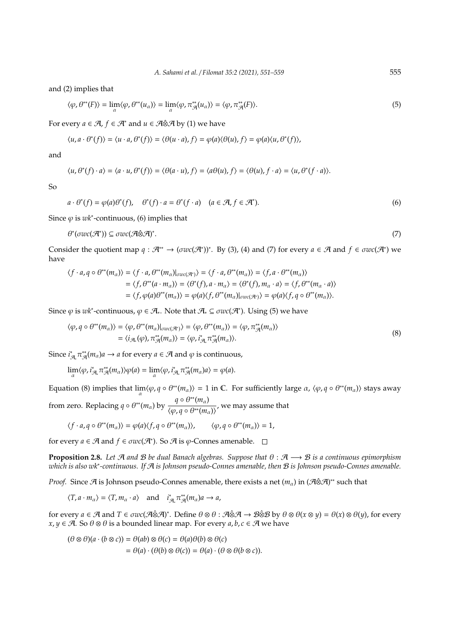and (2) implies that

$$
\langle \varphi, \theta^{**}(F) \rangle = \lim_{\alpha} \langle \varphi, \theta^{**}(u_{\alpha}) \rangle = \lim_{\alpha} \langle \varphi, \pi^{**}_{\mathcal{A}}(u_{\alpha}) \rangle = \langle \varphi, \pi^{**}_{\mathcal{A}}(F) \rangle. \tag{5}
$$

For every  $a \in \mathcal{A}$ ,  $f \in \mathcal{A}^*$  and  $u \in \mathcal{A} \hat{\otimes} \mathcal{A}$  by (1) we have

$$
\langle u, a \cdot \theta^*(f) \rangle = \langle u \cdot a, \theta^*(f) \rangle = \langle \theta(u \cdot a), f \rangle = \varphi(a) \langle \theta(u), f \rangle = \varphi(a) \langle u, \theta^*(f) \rangle,
$$

and

$$
\langle u, \theta^*(f) \cdot a \rangle = \langle a \cdot u, \theta^*(f) \rangle = \langle \theta(a \cdot u), f \rangle = \langle a\theta(u), f \rangle = \langle \theta(u), f \cdot a \rangle = \langle u, \theta^*(f \cdot a) \rangle.
$$

So

$$
a \cdot \theta^*(f) = \varphi(a)\theta^*(f), \quad \theta^*(f) \cdot a = \theta^*(f \cdot a) \quad (a \in \mathcal{A}, f \in \mathcal{A}^*).
$$
 (6)

Since  $\varphi$  is  $wk^*$ -continuous, (6) implies that

θ ∗ (σ*wc*(A<sup>∗</sup> )) ⊆ σ*wc*(A⊗Aˆ ) ∗

.  $(7)$ 

Consider the quotient map  $q : \mathcal{A}^{**} \to (\sigma w c(\mathcal{A}^*))^*$ . By (3), (4) and (7) for every  $a \in \mathcal{A}$  and  $f \in \sigma w c(\mathcal{A}^*)$  we have

$$
\langle f \cdot a, q \circ \theta^{**}(m_{\alpha}) \rangle = \langle f \cdot a, \theta^{**}(m_{\alpha}) \rangle_{\text{GWC}(\mathcal{A}^*)} \rangle = \langle f \cdot a, \theta^{**}(m_{\alpha}) \rangle = \langle f, a \cdot \theta^{**}(m_{\alpha}) \rangle
$$
  
=  $\langle f, \theta^{**}(a \cdot m_{\alpha}) \rangle = \langle \theta^{*}(f), a \cdot m_{\alpha} \rangle = \langle \theta^{*}(f), m_{\alpha} \cdot a \rangle = \langle f, \theta^{**}(m_{\alpha} \cdot a) \rangle$   
=  $\langle f, \varphi(a)\theta^{**}(m_{\alpha}) \rangle = \varphi(a)\langle f, \theta^{**}(m_{\alpha}) \rangle_{\text{GWC}(\mathcal{A}^*)} \rangle = \varphi(a)\langle f, q \circ \theta^{**}(m_{\alpha}) \rangle.$ 

Since  $\varphi$  is  $wk^*$ -continuous,  $\varphi \in \mathcal{A}_*$ . Note that  $\mathcal{A}_* \subseteq \sigma wc(\mathcal{A}^*)$ . Using (5) we have

$$
\langle \varphi, q \circ \theta^{**}(m_{\alpha}) \rangle = \langle \varphi, \theta^{**}(m_{\alpha}) |_{\sigma w c(\mathcal{A}^*)} \rangle = \langle \varphi, \theta^{**}(m_{\alpha}) \rangle = \langle \varphi, \pi^{**}_{\mathcal{A}}(m_{\alpha}) \rangle
$$
  
=  $\langle i_{\mathcal{A}_{*}}(\varphi), \pi^{**}_{\mathcal{A}}(m_{\alpha}) \rangle = \langle \varphi, i^{*}_{\mathcal{A}_{*}} \pi^{**}_{\mathcal{A}}(m_{\alpha}) \rangle.$  (8)

Since  $i^*_{\mathcal{A}_\epsilon} \pi^*_{\mathcal{A}}(m_\alpha) a \to a$  for every  $a \in \mathcal{A}$  and  $\varphi$  is continuous,

$$
\lim_\alpha \langle \varphi, i^*_{\mathcal{A}_\alpha} \pi^*_{\mathcal{A}}(m_\alpha) \rangle \varphi(a) = \lim_\alpha \langle \varphi, i^*_{\mathcal{A}_\alpha} \pi^*_{\mathcal{A}}(m_\alpha) a \rangle = \varphi(a).
$$

Equation (8) implies that  $\lim_{\alpha} \langle \varphi, q \circ \theta^{**}(m_{\alpha}) \rangle = 1$  in C. For sufficiently large  $\alpha$ ,  $\langle \varphi, q \circ \theta^{**}(m_{\alpha}) \rangle$  stays away from zero. Replacing  $q \circ \theta^{**}(m_\alpha)$  by  $\frac{q \circ \theta^{**}(m_\alpha)}{q \circ q \circ \theta^{**}(m_\alpha)}$  $\frac{\overline{a}}{\langle \varphi, q \circ \theta^{**}(m_\alpha) \rangle}$ , we may assume that

$$
\langle f\cdot a, q\circ \theta^{**}(m_\alpha)\rangle = \varphi(a)\langle f, q\circ \theta^{**}(m_\alpha)\rangle, \qquad \langle \varphi, q\circ \theta^{**}(m_\alpha)\rangle = 1,
$$

for every  $a \in \mathcal{A}$  and  $f \in \sigma w c(\mathcal{A}^*)$ . So  $\mathcal{A}$  is  $\varphi$ -Connes amenable.

**Proposition 2.8.** *Let* A *and* B *be dual Banach algebras. Suppose that* θ : A −→ B *is a continuous epimorphism which is also wk*<sup>∗</sup> *-continuous. If* A *is Johnson pseudo-Connes amenable, then* B *is Johnson pseudo-Connes amenable.*

*Proof.* Since  $\mathcal A$  is Johnson pseudo-Connes amenable, there exists a net  $(m_\alpha)$  in  $(\mathcal A\hat{\otimes}\mathcal A)^{**}$  such that

 $\langle T, a \cdot m_{\alpha} \rangle = \langle T, m_{\alpha} \cdot a \rangle$  and  $i_{\mathcal{A}_*}^* \pi_{\mathcal{A}}^{**}(m_{\alpha}) a \rightarrow a$ ,

for every  $a \in \mathcal{A}$  and  $T \in \sigma wc(\mathcal{A} \hat{\otimes} \mathcal{A})^*$ . Define  $\theta \otimes \theta : \mathcal{A} \hat{\otimes} \mathcal{A} \to \mathcal{B} \hat{\otimes} \mathcal{B}$  by  $\theta \otimes \theta(x \otimes y) = \theta(x) \otimes \theta(y)$ , for every *x*, *y* ∈  $\mathcal{A}$ . So  $\theta \otimes \theta$  is a bounded linear map. For every *a*, *b*, *c* ∈  $\mathcal{A}$  we have

$$
(\theta \otimes \theta)(a \cdot (b \otimes c)) = \theta(ab) \otimes \theta(c) = \theta(a)\theta(b) \otimes \theta(c)
$$
  
=  $\theta(a) \cdot (\theta(b) \otimes \theta(c)) = \theta(a) \cdot (\theta \otimes \theta(b \otimes c)).$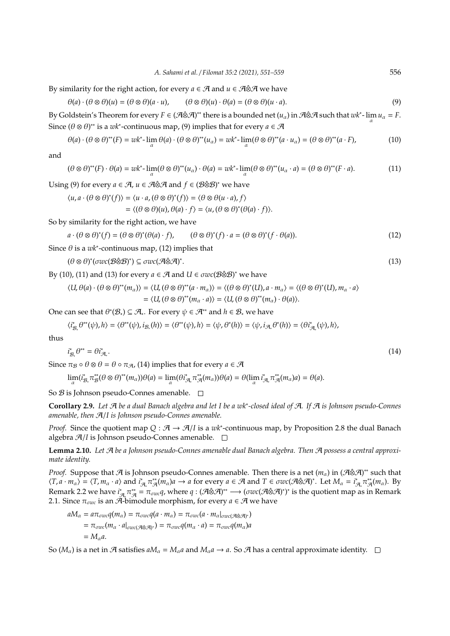By similarity for the right action, for every  $a \in \mathcal{A}$  and  $u \in \mathcal{A} \hat{\otimes} \mathcal{A}$  we have

 $\theta(a) \cdot (\theta \otimes \theta)(u) = (\theta \otimes \theta)(a \cdot u), \qquad (\theta \otimes \theta)(u) \cdot \theta(a) = (\theta \otimes \theta)(u \cdot a).$  (9)

By Goldstein's Theorem for every  $F \in (A \otimes A)^{**}$  there is a bounded net  $(u_\alpha)$  in  $A \otimes A$  such that  $wk^*$ -  $\lim_\alpha u_\alpha = F$ . Since  $(\theta \otimes \theta)^{**}$  is a *wk*<sup>\*</sup>-continuous map, (9) implies that for every  $a \in \mathcal{A}$ 

$$
\theta(a) \cdot (\theta \otimes \theta)^{**}(F) = wk^* - \lim_{\alpha} \theta(a) \cdot (\theta \otimes \theta)^{**}(u_{\alpha}) = wk^* - \lim_{\alpha} (\theta \otimes \theta)^{**}(a \cdot u_{\alpha}) = (\theta \otimes \theta)^{**}(a \cdot F),
$$
\n(10)

and

$$
(\theta \otimes \theta)^{**}(F) \cdot \theta(a) = wk^{*} - \lim_{\alpha} (\theta \otimes \theta)^{**}(u_{\alpha}) \cdot \theta(a) = wk^{*} - \lim_{\alpha} (\theta \otimes \theta)^{**}(u_{\alpha} \cdot a) = (\theta \otimes \theta)^{**}(F \cdot a). \tag{11}
$$

Using (9) for every  $a \in \mathcal{A}$ ,  $u \in \mathcal{A} \hat{\otimes} \mathcal{A}$  and  $f \in (\mathcal{B} \hat{\otimes} \mathcal{B})^*$  we have

$$
\langle u, a \cdot (\theta \otimes \theta)^*(f) \rangle = \langle u \cdot a, (\theta \otimes \theta)^*(f) \rangle = \langle \theta \otimes \theta (u \cdot a), f \rangle
$$

$$
= \langle (\theta \otimes \theta)(u), \theta(a) \cdot f \rangle = \langle u, (\theta \otimes \theta)^*(\theta(a) \cdot f) \rangle.
$$

So by similarity for the right action, we have

$$
a \cdot (\theta \otimes \theta)^*(f) = (\theta \otimes \theta)^*(\theta(a) \cdot f), \qquad (\theta \otimes \theta)^*(f) \cdot a = (\theta \otimes \theta)^*(f \cdot \theta(a)). \tag{12}
$$

Since  $\theta$  is a  $wk^*$ -continuous map, (12) implies that

$$
(\theta \otimes \theta)^*(\sigma wc(\mathcal{B}\hat{\otimes}\mathcal{B})^*) \subseteq \sigma wc(\mathcal{A}\hat{\otimes}\mathcal{A})^*.
$$
\n
$$
(13)
$$

By (10), (11) and (13) for every  $a \in \mathcal{A}$  and  $U \in \sigma wc(\mathcal{B} \hat{\otimes} \mathcal{B})^*$  we have

$$
\langle U, \theta(a) \cdot (\theta \otimes \theta)^{**}(m_{\alpha}) \rangle = \langle U, (\theta \otimes \theta)^{**}(a \cdot m_{\alpha}) \rangle = \langle (\theta \otimes \theta)^{*}(U), a \cdot m_{\alpha} \rangle = \langle (\theta \otimes \theta)^{*}(U), m_{\alpha} \cdot a \rangle
$$
  
=  $\langle U, (\theta \otimes \theta)^{**}(m_{\alpha} \cdot a) \rangle = \langle U, (\theta \otimes \theta)^{**}(m_{\alpha}) \cdot \theta(a) \rangle$ .

One can see that  $\theta^*(\mathcal{B}_*) \subseteq \mathcal{A}_*$ . For every  $\psi \in \mathcal{A}^{**}$  and  $h \in \mathcal{B}_*$  we have

$$
\langle i_{\mathcal{B}_s}^*(\theta^{**}(\psi),h\rangle = \langle \theta^{**}(\psi), i_{\mathcal{B}_s}(h)\rangle = \langle \theta^{**}(\psi),h\rangle = \langle \psi, \theta^{*}(h)\rangle = \langle \psi, i_{\mathcal{A}_s}(\theta^{*}(h))\rangle = \langle \theta i_{\mathcal{A}_s}^*(\psi),h\rangle,
$$

thus

$$
i_{\mathcal{B}_*}^* \theta^{**} = \theta i_{\mathcal{A}_*}^* \tag{14}
$$

Since  $\pi_{\mathcal{B}} \circ \theta \otimes \theta = \theta \circ \pi_{\mathcal{A}}$ , (14) implies that for every  $a \in \mathcal{A}$ 

 $\lim_{\alpha} (i_{\mathcal{B}_{\alpha}}^* \pi_{\mathcal{B}}^{*}(\theta \otimes \theta)^{**}(m_{\alpha}))\theta(a) = \lim_{\alpha} (\theta i_{\mathcal{A}_{\alpha}}^* \pi_{\mathcal{A}}^{*}(m_{\alpha}))\theta(a) = \theta(\lim_{\alpha} i_{\mathcal{A}_{\alpha}}^* \pi_{\mathcal{A}}^{*}(m_{\alpha})a) = \theta(a).$ 

So  $\mathcal{B}$  is Johnson pseudo-Connes amenable.  $\square$ 

**Corollary 2.9.** *Let* A *be a dual Banach algebra and let I be a wk*<sup>∗</sup> *-closed ideal of* A*. If* A *is Johnson pseudo-Connes amenable, then* A/*I is Johnson pseudo-Connes amenable.*

*Proof.* Since the quotient map *Q* :  $A \rightarrow A/I$  is a *wk*<sup>\*</sup>-continuous map, by Proposition 2.8 the dual Banach algebra A/*I* is Johnson pseudo-Connes amenable.

**Lemma 2.10.** *Let* A *be a Johnson pseudo-Connes amenable dual Banach algebra. Then* A *possess a central approximate identity.*

*Proof.* Suppose that  $\mathcal A$  is Johnson pseudo-Connes amenable. Then there is a net  $(m_\alpha)$  in  $(\mathcal A\hat\otimes\mathcal A)^{**}$  such that  $\langle T, a \cdot m_{\alpha} \rangle = \langle T, m_{\alpha} \cdot a \rangle$  and  $i_{\mathcal{A}}^* \pi_{\mathcal{A}}^{**}(m_{\alpha})a \to a$  for every  $a \in \mathcal{A}$  and  $T \in \sigma \mathit{wc}(\mathcal{A} \hat{\otimes} \mathcal{A})^*$ . Let  $M_{\alpha} = i_{\mathcal{A}}^* \pi_{\mathcal{A}}^{**}(m_{\alpha})$ . By Remark 2.2 we have  $i_{A}^*\pi_A^* = \pi_{\sigma w c}q$ , where  $q: (\mathcal{A} \hat{\otimes} \mathcal{A})^{**} \longrightarrow (\sigma w c (\mathcal{A} \hat{\otimes} \mathcal{A})^*)^*$  is the quotient map as in Remark 2.1. Since  $\pi_{\sigma w c}$  is an  $\tilde{A}$ -bimodule morphism, for every  $a \in \mathcal{A}$  we have

$$
aM_{\alpha} = a\pi_{\sigma wc}q(m_{\alpha}) = \pi_{\sigma wc}q(a \cdot m_{\alpha}) = \pi_{\sigma wc}(a \cdot m_{\alpha}|_{\sigma wc(\mathcal{A}\hat{\otimes}\mathcal{A})^*})
$$
  
=  $\pi_{\sigma wc}(m_{\alpha} \cdot a|_{\sigma wc(\mathcal{A}\hat{\otimes}\mathcal{A})^*}) = \pi_{\sigma wc}q(m_{\alpha} \cdot a) = \pi_{\sigma wc}q(m_{\alpha})a$   
=  $M_{\alpha}a$ .

So  $(M_\alpha)$  is a net in A satisfies  $aM_\alpha = M_\alpha a$  and  $M_\alpha a \to a$ . So A has a central approximate identity.  $\square$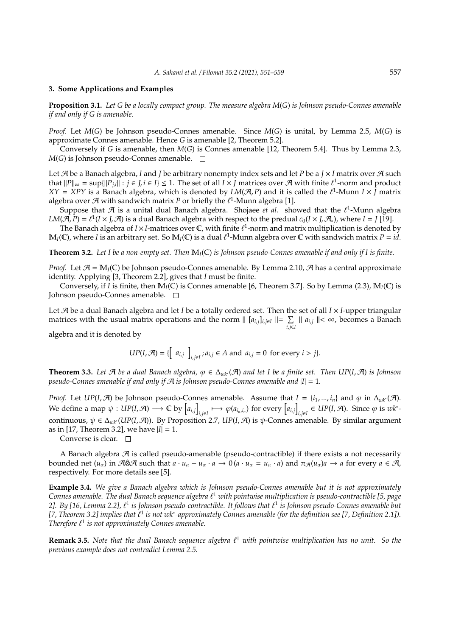## **3. Some Applications and Examples**

**Proposition 3.1.** *Let G be a locally compact group. The measure algebra M*(*G*) *is Johnson pseudo-Connes amenable if and only if G is amenable.*

*Proof.* Let *M*(*G*) be Johnson pseudo-Connes amenable. Since *M*(*G*) is unital, by Lemma 2.5, *M*(*G*) is approximate Connes amenable. Hence *G* is amenable [2, Theorem 5.2].

Conversely if *G* is amenable, then *M*(*G*) is Connes amenable [12, Theorem 5.4]. Thus by Lemma 2.3,  $M(G)$  is Johnson pseudo-Connes amenable.  $\square$ 

Let  $\mathcal A$  be a Banach algebra, *I* and *J* be arbitrary nonempty index sets and let *P* be a *J* × *I* matrix over  $\mathcal A$  such that  $||P||_{\infty} = \sup{||P_{j,i}|| : j \in J, i \in I} \le 1$ . The set of all  $I \times J$  matrices over A with finite  $\ell^1$ -norm and product  $XY = XPY$  is a Banach algebra, which is denoted by  $LM(\mathcal{A}, P)$  and it is called the  $\ell^1$ -Munn  $I \times \tilde{J}$  matrix algebra over  $\mathcal A$  with sandwich matrix P or briefly the  $\ell^1$ -Munn algebra [1].

Suppose that  $\mathcal A$  is a unital dual Banach algebra. Shojaee *et al.* showed that the  $\ell^1$ -Munn algebra  $LM(\hat{\mathcal{A}}, P) = \ell^1(I \times J, \mathcal{A})$  is a dual Banach algebra with respect to the predual  $c_0(I \times J, \mathcal{A}_*)$ , where  $I = J$  [19].

The Banach algebra of  $I \times I$ -matrices over  $\mathbb C$ , with finite  $\ell^1$ -norm and matrix multiplication is denoted by  $M_I(\mathbb{C})$ , where *I* is an arbitrary set. So  $M_I(\mathbb{C})$  is a dual  $\ell^1$ -Munn algebra over  $\mathbb C$  with sandwich matrix  $P = id$ .

**Theorem 3.2.** *Let I be a non-empty set. Then* M*I*(C) *is Johnson pseudo-Connes amenable if and only if I is finite.*

*Proof.* Let  $\mathcal{A} = M_I(\mathbb{C})$  be Johnson pseudo-Connes amenable. By Lemma 2.10,  $\mathcal{A}$  has a central approximate identity. Applying [3, Theorem 2.2], gives that *I* must be finite.

Conversely, if *I* is finite, then  $M_I(\mathbb{C})$  is Connes amenable [6, Theorem 3.7]. So by Lemma (2.3),  $M_I(\mathbb{C})$  is Johnson pseudo-Connes amenable.

Let A be a dual Banach algebra and let *I* be a totally ordered set. Then the set of all *I* × *I*-upper triangular matrices with the usual matrix operations and the norm  $|| [a_{i,j}]_{i,j \in I} || = \sum$  $\sum_{i,j\in I}$  ||  $a_{i,j}$  ||< ∞, becomes a Banach

algebra and it is denoted by

$$
UP(I,\mathcal{A}) = \{ \left[ a_{i,j} \right]_{i,j \in I}; a_{i,j} \in A \text{ and } a_{i,j} = 0 \text{ for every } i > j \}.
$$

**Theorem 3.3.** *Let* A *be a dual Banach algebra,* ϕ ∈ ∆*wk*<sup>∗</sup> (A) *and let I be a finite set. Then UP*(*I*, A) *is Johnson pseudo-Connes amenable if and only if* A *is Johnson pseudo-Connes amenable and* |*I*| = 1*.*

*Proof.* Let *UP*(*I*,  $\mathcal{A}$ ) be Johnson pseudo-Connes amenable. Assume that *I* = {*i*<sub>1</sub>, ..., *i*<sub>*n*</sub>} and  $\varphi$  in  $\Delta_{wk}(\mathcal{A})$ . We define a map  $\psi : UP(I,\mathcal{A}) \longrightarrow \mathbb{C}$  by  $\left[a_{i,j}\right]$  $\phi(a_{i_n,i_n})$  for every  $[a_{i,j}]$  $i,j \in I$  ∈ *UP*(*I*,  $\mathcal{A}$ ). Since  $\varphi$  is  $wk^*$ continuous,  $\psi \in \Delta_{wk^*}(UP(I,\mathcal{A}))$ . By Proposition 2.7, *UP*(*I*,  $\mathcal{A}$ ) is  $\psi$ -Connes amenable. By similar argument as in [17, Theorem 3.2], we have |*I*| = 1.

Converse is clear.  $\square$ 

A Banach algebra  $\mathcal A$  is called pseudo-amenable (pseudo-contractible) if there exists a not necessarily bounded net  $(u_{\alpha})$  in A⊗A such that  $a \cdot u_{\alpha} - u_{\alpha} \cdot a \to 0$   $(a \cdot u_{\alpha} = u_{\alpha} \cdot a)$  and  $\pi_{\mathcal{A}}(u_{\alpha})a \to a$  for every  $a \in \mathcal{A}$ , respectively. For more details see [5].

**Example 3.4.** *We give a Banach algebra which is Johnson pseudo-Connes amenable but it is not approximately* Connes amenable. The dual Banach sequence algebra  $\ell^1$  with pointwise multiplication is pseudo-contractible [5, page 2]. By [16, Lemma 2.2],  $\ell^1$  is Johnson pseudo-contractible. It follows that  $\ell^1$  is Johnson pseudo-Connes amenable but *[7, Theorem 3.2] implies that*  $\ell^1$  is not wk<sup>∗</sup>-approximately Connes amenable (for the definition see [7, Definition 2.1]). *Therefore*  $\ell^1$  is not approximately Connes amenable.

**Remark 3.5.** Note that the dual Banach sequence algebra  $\ell^1$  with pointwise multiplication has no unit. So the *previous example does not contradict Lemma 2.5.*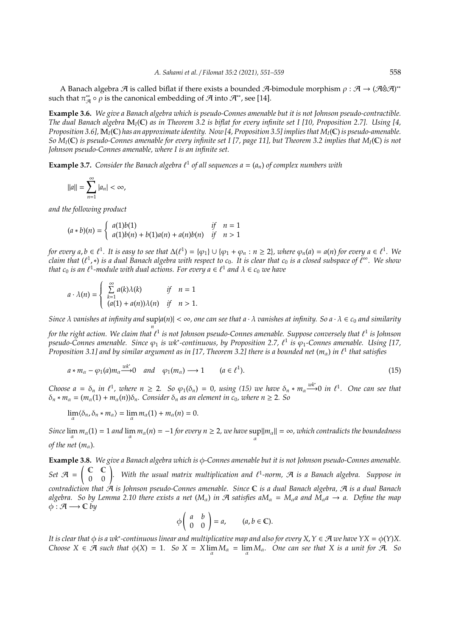A Banach algebra  $\mathcal A$  is called biflat if there exists a bounded  $\mathcal A$ -bimodule morphism  $\rho: \mathcal A \to (\mathcal A \hat \otimes \mathcal A)^*$ such that  $\pi_{\mathcal{A}}^{**} \circ \rho$  is the canonical embedding of  $\mathcal{A}$  into  $\mathcal{A}^{**}$ , see [14].

**Example 3.6.** *We give a Banach algebra which is pseudo-Connes amenable but it is not Johnson pseudo-contractible. The dual Banach algebra* M*I*(C) *as in Theorem 3.2 is biflat for every infinite set I [10, Proposition 2.7]. Using [4, Proposition 3.6],* M*I*(C) *has an approximate identity. Now [4, Proposition 3.5] implies that MI*(C) *is pseudo-amenable. So MI*(C) *is pseudo-Connes amenable for every infinite set I [7, page 11], but Theorem 3.2 implies that MI*(C) *is not Johnson pseudo-Connes amenable, where I is an infinite set.*

**Example 3.7.** Consider the Banach algebra  $\ell^1$  of all sequences  $a = (a_n)$  of complex numbers with

$$
||a|| = \sum_{n=1}^{\infty} |a_n| < \infty,
$$

*and the following product*

$$
(a * b)(n) = \begin{cases} a(1)b(1) & \text{if } n = 1\\ a(1)b(n) + b(1)a(n) + a(n)b(n) & \text{if } n > 1 \end{cases}
$$

*for every*  $a, b \in \ell^1$ . It is easy to see that  $\Delta(\ell^1) = \{\varphi_1\} \cup \{\varphi_1 + \varphi_n : n \geq 2\}$ , where  $\varphi_n(a) = a(n)$  for every  $a \in \ell^1$ . We *claim that* (` 1 ,∗) *is a dual Banach algebra with respect to c*0*. It is clear that c*<sup>0</sup> *is a closed subspace of* ` <sup>∞</sup>*. We show that*  $c_0$  *is an*  $\ell^1$ -module with dual actions. For every  $a \in \ell^1$  and  $\lambda \in c_0$  we have

$$
a \cdot \lambda(n) = \begin{cases} \sum_{k=1}^{\infty} a(k)\lambda(k) & \text{if } n = 1\\ (a(1) + a(n))\lambda(n) & \text{if } n > 1. \end{cases}
$$

*Since* λ *vanishes at infinity and* sup |*a*(*n*)| < ∞*, one can see that a* · λ *vanishes at infinity. So a* · λ ∈ *c*<sup>0</sup> *and similarity n*

for the right action. We claim that  $\ell^1$  is not Johnson pseudo-Connes amenable. Suppose conversely that  $\ell^1$  is Johnson *pseudo-Connes amenable. Since* φ1 *is wk\*-continuous, by Proposition 2.7, €<sup>1</sup> is φ<sub>1</sub>-Connes amenable. Using [17, Proposition 3.1] and by similar argument as in [17, Theorem 3.2] there is a bounded net*  $(m_\alpha)$  *in*  $\ell^1$  *that satisfies* 

$$
a * m_{\alpha} - \varphi_1(a) m_{\alpha} \xrightarrow{wk^*} 0 \quad and \quad \varphi_1(m_{\alpha}) \longrightarrow 1 \qquad (a \in \ell^1). \tag{15}
$$

*Choose a* =  $\delta_n$  *in*  $\ell^1$ , where  $n \ge 2$ . So  $\varphi_1(\delta_n) = 0$ , using (15) we have  $\delta_n * m_\alpha \stackrel{wk^*}{\longrightarrow} 0$  *in*  $\ell^1$ . One can see that  $\delta_n * m_\alpha = (m_\alpha(1) + m_\alpha(n))\delta_n$ . Consider  $\delta_n$  as an element in c<sub>0</sub>, where  $n \ge 2$ . So

$$
\lim_{\alpha} \langle \delta_n, \delta_n * m_\alpha \rangle = \lim_{\alpha} m_\alpha(1) + m_\alpha(n) = 0.
$$

*Since*  $\lim_{\alpha} m_{\alpha}(1) = 1$  *and*  $\lim_{\alpha} m_{\alpha}(n) = -1$  *for every*  $n \ge 2$ *, we have*  $\sup_{\alpha} ||m_{\alpha}|| = \infty$ *, which contradicts the boundedness of the net*  $(m_\alpha)$ *.* 

**Example 3.8.** *We give a Banach algebra which is* φ*-Connes amenable but it is not Johnson pseudo-Connes amenable.* Set  $A = \begin{pmatrix} C & C \ 0 & 0 \end{pmatrix}$ . With the usual matrix multiplication and  $\ell^1$ -norm,  $A$  is a Banach algebra. Suppose in *contradiction that* A *is Johnson pseudo-Connes amenable. Since* C *is a dual Banach algebra,* A *is a dual Banach algebra.* So by Lemma 2.10 there exists a net  $(M_\alpha)$  in A satisfies a $M_\alpha = M_\alpha a$  and  $M_\alpha a \to a$ . Define the map  $\phi : \mathcal{A} \longrightarrow \mathbb{C}$  *by* 

$$
\phi\left(\begin{array}{cc}a&b\\0&0\end{array}\right)=a,\qquad (a,b\in\mathbb{C}).
$$

It is clear that  $\phi$  is a wk\*-continuous linear and multiplicative map and also for every X, Y ∈ A we have YX =  $\phi$ (Y)X. *Choose*  $X \in \mathcal{A}$  *such that*  $\phi(X) = 1$ *. So*  $X = X \lim_{\alpha} M_{\alpha} = \lim_{\alpha} M_{\alpha}$ *. One can see that* X *is a unit for*  $\mathcal{A}$ *. So*